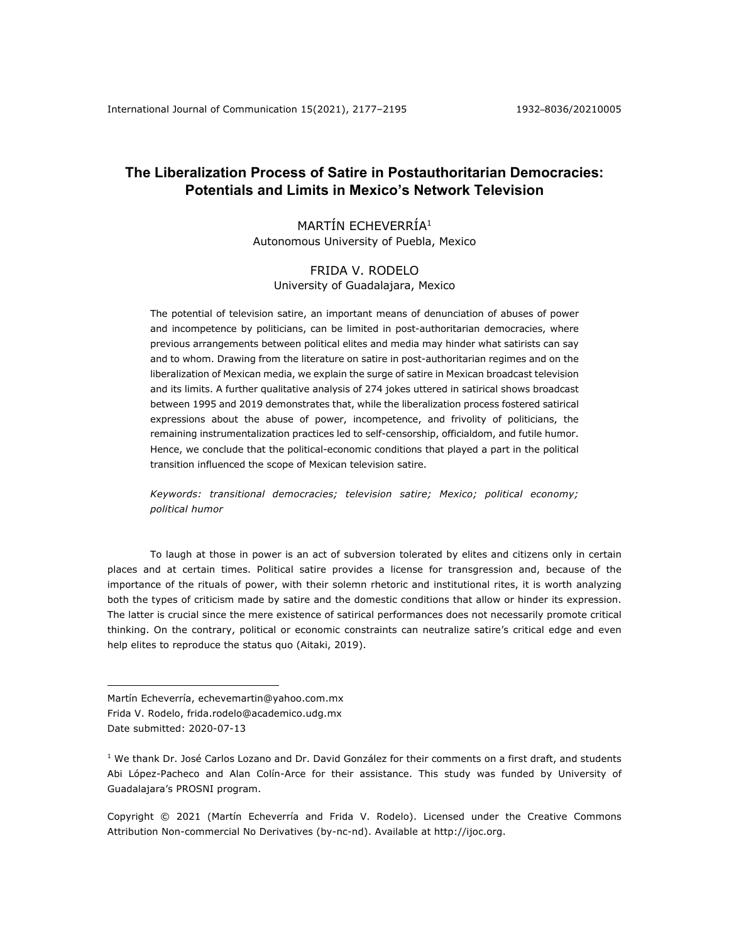# **The Liberalization Process of Satire in Postauthoritarian Democracies: Potentials and Limits in Mexico's Network Television**

# MARTÍN ECHEVERRÍA1 Autonomous University of Puebla, Mexico

# FRIDA V. RODELO University of Guadalajara, Mexico

The potential of television satire, an important means of denunciation of abuses of power and incompetence by politicians, can be limited in post-authoritarian democracies, where previous arrangements between political elites and media may hinder what satirists can say and to whom. Drawing from the literature on satire in post-authoritarian regimes and on the liberalization of Mexican media, we explain the surge of satire in Mexican broadcast television and its limits. A further qualitative analysis of 274 jokes uttered in satirical shows broadcast between 1995 and 2019 demonstrates that, while the liberalization process fostered satirical expressions about the abuse of power, incompetence, and frivolity of politicians, the remaining instrumentalization practices led to self-censorship, officialdom, and futile humor. Hence, we conclude that the political-economic conditions that played a part in the political transition influenced the scope of Mexican television satire.

*Keywords: transitional democracies; television satire; Mexico; political economy; political humor*

To laugh at those in power is an act of subversion tolerated by elites and citizens only in certain places and at certain times. Political satire provides a license for transgression and, because of the importance of the rituals of power, with their solemn rhetoric and institutional rites, it is worth analyzing both the types of criticism made by satire and the domestic conditions that allow or hinder its expression. The latter is crucial since the mere existence of satirical performances does not necessarily promote critical thinking. On the contrary, political or economic constraints can neutralize satire's critical edge and even help elites to reproduce the status quo (Aitaki, 2019).

Martín Echeverría, echevemartin@yahoo.com.mx

Frida V. Rodelo, frida.rodelo@academico.udg.mx

Copyright © 2021 (Martín Echeverría and Frida V. Rodelo). Licensed under the Creative Commons Attribution Non-commercial No Derivatives (by-nc-nd). Available at http://ijoc.org.

Date submitted: 2020-07-13

 $1$  We thank Dr. José Carlos Lozano and Dr. David González for their comments on a first draft, and students Abi López-Pacheco and Alan Colín-Arce for their assistance. This study was funded by University of Guadalajara's PROSNI program.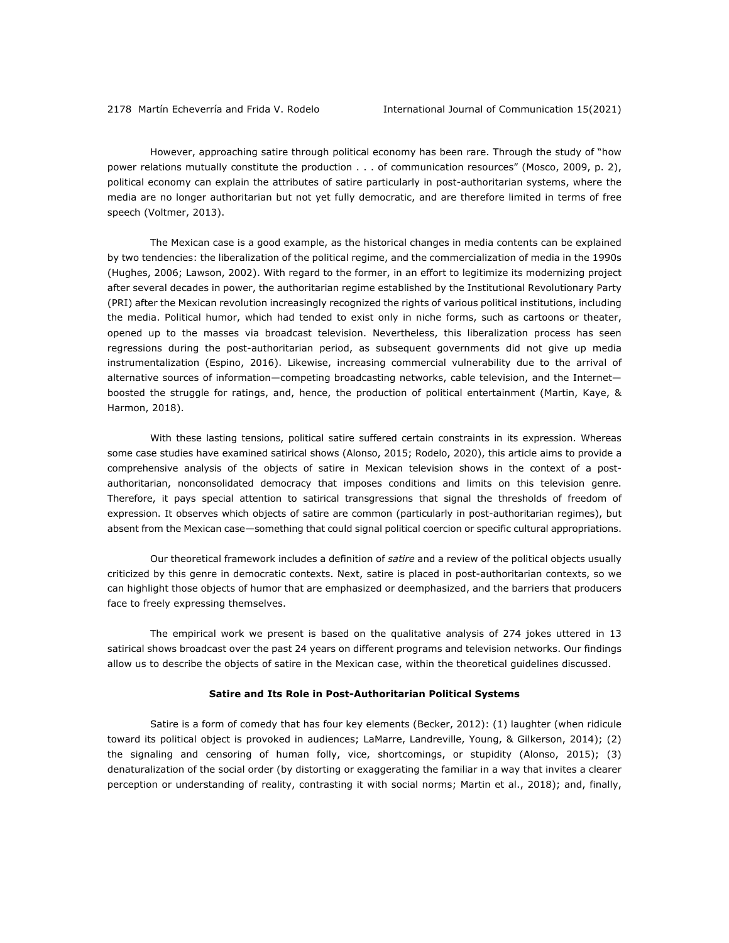However, approaching satire through political economy has been rare. Through the study of "how power relations mutually constitute the production . . . of communication resources" (Mosco, 2009, p. 2), political economy can explain the attributes of satire particularly in post-authoritarian systems, where the media are no longer authoritarian but not yet fully democratic, and are therefore limited in terms of free speech (Voltmer, 2013).

The Mexican case is a good example, as the historical changes in media contents can be explained by two tendencies: the liberalization of the political regime, and the commercialization of media in the 1990s (Hughes, 2006; Lawson, 2002). With regard to the former, in an effort to legitimize its modernizing project after several decades in power, the authoritarian regime established by the Institutional Revolutionary Party (PRI) after the Mexican revolution increasingly recognized the rights of various political institutions, including the media. Political humor, which had tended to exist only in niche forms, such as cartoons or theater, opened up to the masses via broadcast television. Nevertheless, this liberalization process has seen regressions during the post-authoritarian period, as subsequent governments did not give up media instrumentalization (Espino, 2016). Likewise, increasing commercial vulnerability due to the arrival of alternative sources of information—competing broadcasting networks, cable television, and the Internet boosted the struggle for ratings, and, hence, the production of political entertainment (Martin, Kaye, & Harmon, 2018).

With these lasting tensions, political satire suffered certain constraints in its expression. Whereas some case studies have examined satirical shows (Alonso, 2015; Rodelo, 2020), this article aims to provide a comprehensive analysis of the objects of satire in Mexican television shows in the context of a postauthoritarian, nonconsolidated democracy that imposes conditions and limits on this television genre. Therefore, it pays special attention to satirical transgressions that signal the thresholds of freedom of expression. It observes which objects of satire are common (particularly in post-authoritarian regimes), but absent from the Mexican case—something that could signal political coercion or specific cultural appropriations.

Our theoretical framework includes a definition of *satire* and a review of the political objects usually criticized by this genre in democratic contexts. Next, satire is placed in post-authoritarian contexts, so we can highlight those objects of humor that are emphasized or deemphasized, and the barriers that producers face to freely expressing themselves.

The empirical work we present is based on the qualitative analysis of 274 jokes uttered in 13 satirical shows broadcast over the past 24 years on different programs and television networks. Our findings allow us to describe the objects of satire in the Mexican case, within the theoretical guidelines discussed.

### **Satire and Its Role in Post-Authoritarian Political Systems**

Satire is a form of comedy that has four key elements (Becker, 2012): (1) laughter (when ridicule toward its political object is provoked in audiences; LaMarre, Landreville, Young, & Gilkerson, 2014); (2) the signaling and censoring of human folly, vice, shortcomings, or stupidity (Alonso, 2015); (3) denaturalization of the social order (by distorting or exaggerating the familiar in a way that invites a clearer perception or understanding of reality, contrasting it with social norms; Martin et al., 2018); and, finally,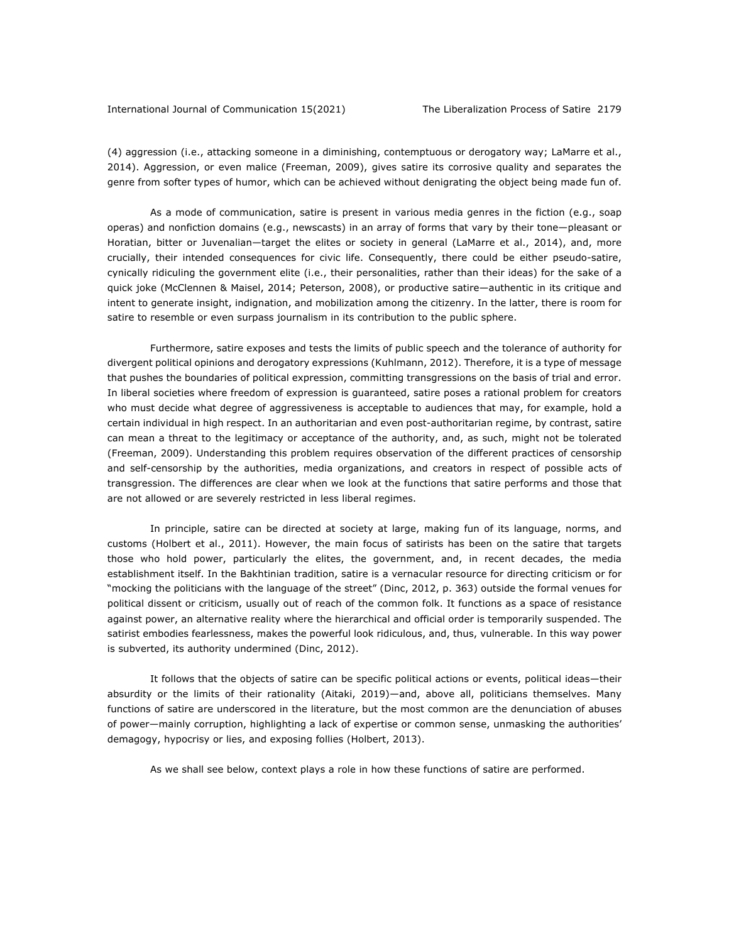### International Journal of Communication 15(2021) The Liberalization Process of Satire 2179

(4) aggression (i.e., attacking someone in a diminishing, contemptuous or derogatory way; LaMarre et al., 2014). Aggression, or even malice (Freeman, 2009), gives satire its corrosive quality and separates the genre from softer types of humor, which can be achieved without denigrating the object being made fun of.

As a mode of communication, satire is present in various media genres in the fiction (e.g., soap operas) and nonfiction domains (e.g., newscasts) in an array of forms that vary by their tone—pleasant or Horatian, bitter or Juvenalian—target the elites or society in general (LaMarre et al., 2014), and, more crucially, their intended consequences for civic life. Consequently, there could be either pseudo-satire, cynically ridiculing the government elite (i.e., their personalities, rather than their ideas) for the sake of a quick joke (McClennen & Maisel, 2014; Peterson, 2008), or productive satire—authentic in its critique and intent to generate insight, indignation, and mobilization among the citizenry. In the latter, there is room for satire to resemble or even surpass journalism in its contribution to the public sphere.

Furthermore, satire exposes and tests the limits of public speech and the tolerance of authority for divergent political opinions and derogatory expressions (Kuhlmann, 2012). Therefore, it is a type of message that pushes the boundaries of political expression, committing transgressions on the basis of trial and error. In liberal societies where freedom of expression is guaranteed, satire poses a rational problem for creators who must decide what degree of aggressiveness is acceptable to audiences that may, for example, hold a certain individual in high respect. In an authoritarian and even post-authoritarian regime, by contrast, satire can mean a threat to the legitimacy or acceptance of the authority, and, as such, might not be tolerated (Freeman, 2009). Understanding this problem requires observation of the different practices of censorship and self-censorship by the authorities, media organizations, and creators in respect of possible acts of transgression. The differences are clear when we look at the functions that satire performs and those that are not allowed or are severely restricted in less liberal regimes.

In principle, satire can be directed at society at large, making fun of its language, norms, and customs (Holbert et al., 2011). However, the main focus of satirists has been on the satire that targets those who hold power, particularly the elites, the government, and, in recent decades, the media establishment itself. In the Bakhtinian tradition, satire is a vernacular resource for directing criticism or for "mocking the politicians with the language of the street" (Dinc, 2012, p. 363) outside the formal venues for political dissent or criticism, usually out of reach of the common folk. It functions as a space of resistance against power, an alternative reality where the hierarchical and official order is temporarily suspended. The satirist embodies fearlessness, makes the powerful look ridiculous, and, thus, vulnerable. In this way power is subverted, its authority undermined (Dinc, 2012).

It follows that the objects of satire can be specific political actions or events, political ideas—their absurdity or the limits of their rationality (Aitaki, 2019)—and, above all, politicians themselves. Many functions of satire are underscored in the literature, but the most common are the denunciation of abuses of power—mainly corruption, highlighting a lack of expertise or common sense, unmasking the authorities' demagogy, hypocrisy or lies, and exposing follies (Holbert, 2013).

As we shall see below, context plays a role in how these functions of satire are performed.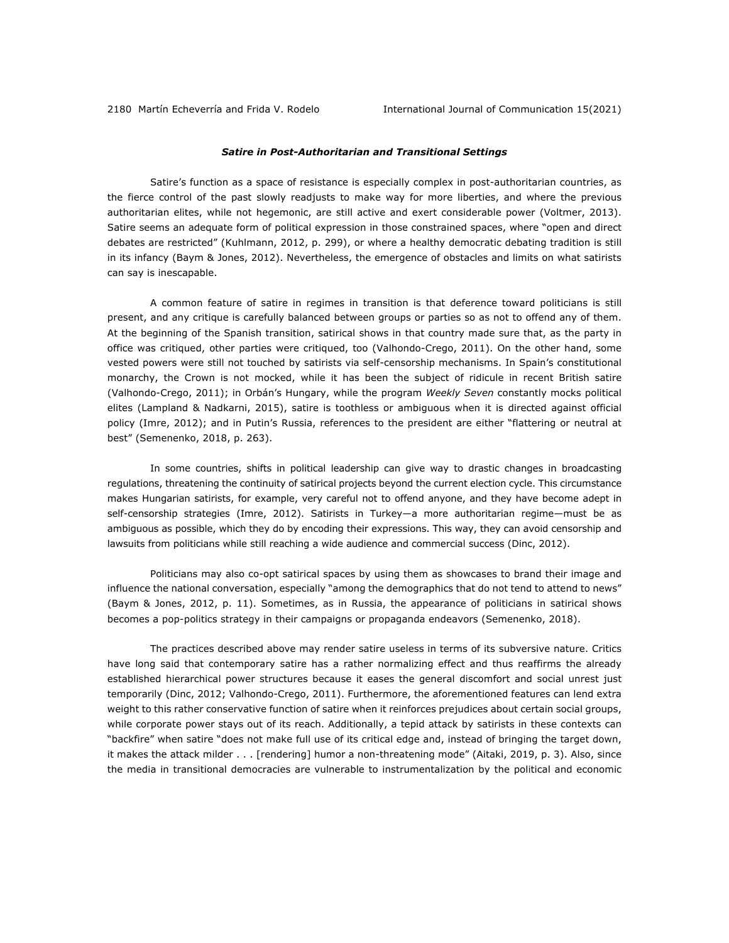## *Satire in Post-Authoritarian and Transitional Settings*

Satire's function as a space of resistance is especially complex in post-authoritarian countries, as the fierce control of the past slowly readjusts to make way for more liberties, and where the previous authoritarian elites, while not hegemonic, are still active and exert considerable power (Voltmer, 2013). Satire seems an adequate form of political expression in those constrained spaces, where "open and direct debates are restricted" (Kuhlmann, 2012, p. 299), or where a healthy democratic debating tradition is still in its infancy (Baym & Jones, 2012). Nevertheless, the emergence of obstacles and limits on what satirists can say is inescapable.

A common feature of satire in regimes in transition is that deference toward politicians is still present, and any critique is carefully balanced between groups or parties so as not to offend any of them. At the beginning of the Spanish transition, satirical shows in that country made sure that, as the party in office was critiqued, other parties were critiqued, too (Valhondo-Crego, 2011). On the other hand, some vested powers were still not touched by satirists via self-censorship mechanisms. In Spain's constitutional monarchy, the Crown is not mocked, while it has been the subject of ridicule in recent British satire (Valhondo-Crego, 2011); in Orbán's Hungary, while the program *Weekly Seven* constantly mocks political elites (Lampland & Nadkarni, 2015), satire is toothless or ambiguous when it is directed against official policy (Imre, 2012); and in Putin's Russia, references to the president are either "flattering or neutral at best" (Semenenko, 2018, p. 263).

In some countries, shifts in political leadership can give way to drastic changes in broadcasting regulations, threatening the continuity of satirical projects beyond the current election cycle. This circumstance makes Hungarian satirists, for example, very careful not to offend anyone, and they have become adept in self-censorship strategies (Imre, 2012). Satirists in Turkey—a more authoritarian regime—must be as ambiguous as possible, which they do by encoding their expressions. This way, they can avoid censorship and lawsuits from politicians while still reaching a wide audience and commercial success (Dinc, 2012).

Politicians may also co-opt satirical spaces by using them as showcases to brand their image and influence the national conversation, especially "among the demographics that do not tend to attend to news" (Baym & Jones, 2012, p. 11). Sometimes, as in Russia, the appearance of politicians in satirical shows becomes a pop-politics strategy in their campaigns or propaganda endeavors (Semenenko, 2018).

The practices described above may render satire useless in terms of its subversive nature. Critics have long said that contemporary satire has a rather normalizing effect and thus reaffirms the already established hierarchical power structures because it eases the general discomfort and social unrest just temporarily (Dinc, 2012; Valhondo-Crego, 2011). Furthermore, the aforementioned features can lend extra weight to this rather conservative function of satire when it reinforces prejudices about certain social groups, while corporate power stays out of its reach. Additionally, a tepid attack by satirists in these contexts can "backfire" when satire "does not make full use of its critical edge and, instead of bringing the target down, it makes the attack milder . . . [rendering] humor a non-threatening mode" (Aitaki, 2019, p. 3). Also, since the media in transitional democracies are vulnerable to instrumentalization by the political and economic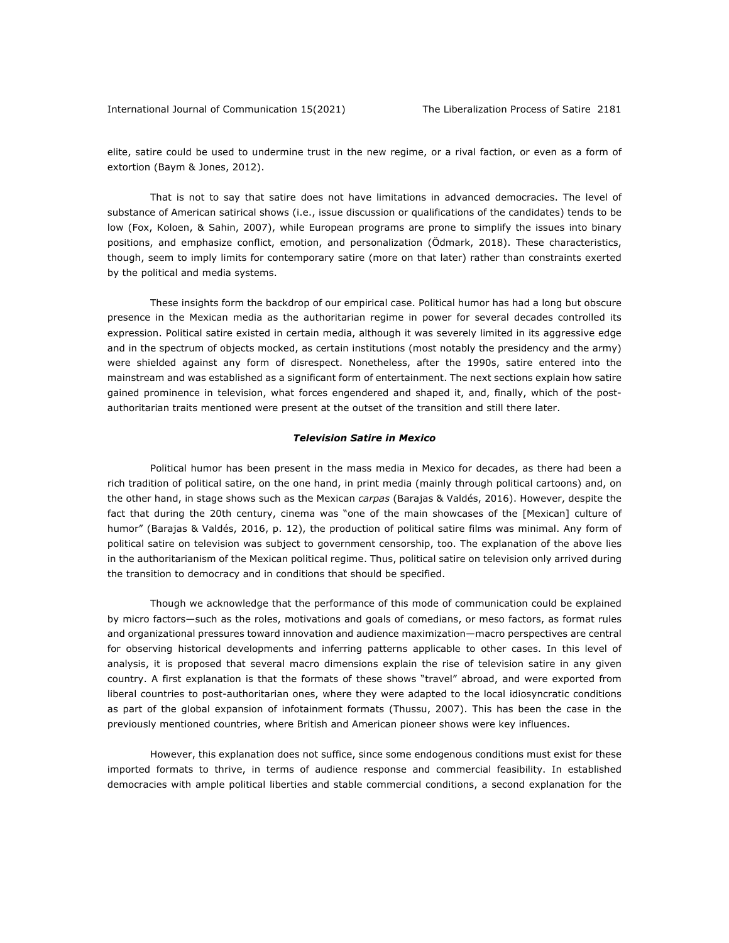elite, satire could be used to undermine trust in the new regime, or a rival faction, or even as a form of extortion (Baym & Jones, 2012).

That is not to say that satire does not have limitations in advanced democracies. The level of substance of American satirical shows (i.e., issue discussion or qualifications of the candidates) tends to be low (Fox, Koloen, & Sahin, 2007), while European programs are prone to simplify the issues into binary positions, and emphasize conflict, emotion, and personalization (Ödmark, 2018). These characteristics, though, seem to imply limits for contemporary satire (more on that later) rather than constraints exerted by the political and media systems.

These insights form the backdrop of our empirical case. Political humor has had a long but obscure presence in the Mexican media as the authoritarian regime in power for several decades controlled its expression. Political satire existed in certain media, although it was severely limited in its aggressive edge and in the spectrum of objects mocked, as certain institutions (most notably the presidency and the army) were shielded against any form of disrespect. Nonetheless, after the 1990s, satire entered into the mainstream and was established as a significant form of entertainment. The next sections explain how satire gained prominence in television, what forces engendered and shaped it, and, finally, which of the postauthoritarian traits mentioned were present at the outset of the transition and still there later.

## *Television Satire in Mexico*

Political humor has been present in the mass media in Mexico for decades, as there had been a rich tradition of political satire, on the one hand, in print media (mainly through political cartoons) and, on the other hand, in stage shows such as the Mexican *carpas* (Barajas & Valdés, 2016). However, despite the fact that during the 20th century, cinema was "one of the main showcases of the [Mexican] culture of humor" (Barajas & Valdés, 2016, p. 12), the production of political satire films was minimal. Any form of political satire on television was subject to government censorship, too. The explanation of the above lies in the authoritarianism of the Mexican political regime. Thus, political satire on television only arrived during the transition to democracy and in conditions that should be specified.

Though we acknowledge that the performance of this mode of communication could be explained by micro factors—such as the roles, motivations and goals of comedians, or meso factors, as format rules and organizational pressures toward innovation and audience maximization—macro perspectives are central for observing historical developments and inferring patterns applicable to other cases. In this level of analysis, it is proposed that several macro dimensions explain the rise of television satire in any given country. A first explanation is that the formats of these shows "travel" abroad, and were exported from liberal countries to post-authoritarian ones, where they were adapted to the local idiosyncratic conditions as part of the global expansion of infotainment formats (Thussu, 2007). This has been the case in the previously mentioned countries, where British and American pioneer shows were key influences.

However, this explanation does not suffice, since some endogenous conditions must exist for these imported formats to thrive, in terms of audience response and commercial feasibility. In established democracies with ample political liberties and stable commercial conditions, a second explanation for the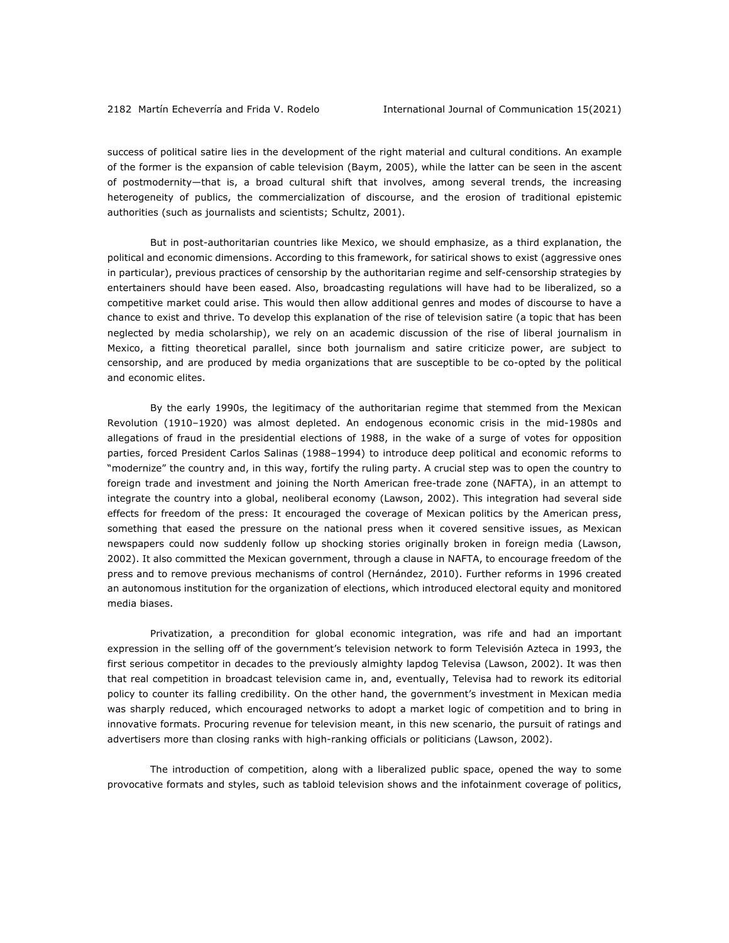success of political satire lies in the development of the right material and cultural conditions. An example of the former is the expansion of cable television (Baym, 2005), while the latter can be seen in the ascent of postmodernity—that is, a broad cultural shift that involves, among several trends, the increasing heterogeneity of publics, the commercialization of discourse, and the erosion of traditional epistemic authorities (such as journalists and scientists; Schultz, 2001).

But in post-authoritarian countries like Mexico, we should emphasize, as a third explanation, the political and economic dimensions. According to this framework, for satirical shows to exist (aggressive ones in particular), previous practices of censorship by the authoritarian regime and self-censorship strategies by entertainers should have been eased. Also, broadcasting regulations will have had to be liberalized, so a competitive market could arise. This would then allow additional genres and modes of discourse to have a chance to exist and thrive. To develop this explanation of the rise of television satire (a topic that has been neglected by media scholarship), we rely on an academic discussion of the rise of liberal journalism in Mexico, a fitting theoretical parallel, since both journalism and satire criticize power, are subject to censorship, and are produced by media organizations that are susceptible to be co-opted by the political and economic elites.

By the early 1990s, the legitimacy of the authoritarian regime that stemmed from the Mexican Revolution (1910–1920) was almost depleted. An endogenous economic crisis in the mid-1980s and allegations of fraud in the presidential elections of 1988, in the wake of a surge of votes for opposition parties, forced President Carlos Salinas (1988–1994) to introduce deep political and economic reforms to "modernize" the country and, in this way, fortify the ruling party. A crucial step was to open the country to foreign trade and investment and joining the North American free-trade zone (NAFTA), in an attempt to integrate the country into a global, neoliberal economy (Lawson, 2002). This integration had several side effects for freedom of the press: It encouraged the coverage of Mexican politics by the American press, something that eased the pressure on the national press when it covered sensitive issues, as Mexican newspapers could now suddenly follow up shocking stories originally broken in foreign media (Lawson, 2002). It also committed the Mexican government, through a clause in NAFTA, to encourage freedom of the press and to remove previous mechanisms of control (Hernández, 2010). Further reforms in 1996 created an autonomous institution for the organization of elections, which introduced electoral equity and monitored media biases.

Privatization, a precondition for global economic integration, was rife and had an important expression in the selling off of the government's television network to form Televisión Azteca in 1993, the first serious competitor in decades to the previously almighty lapdog Televisa (Lawson, 2002). It was then that real competition in broadcast television came in, and, eventually, Televisa had to rework its editorial policy to counter its falling credibility. On the other hand, the government's investment in Mexican media was sharply reduced, which encouraged networks to adopt a market logic of competition and to bring in innovative formats. Procuring revenue for television meant, in this new scenario, the pursuit of ratings and advertisers more than closing ranks with high-ranking officials or politicians (Lawson, 2002).

The introduction of competition, along with a liberalized public space, opened the way to some provocative formats and styles, such as tabloid television shows and the infotainment coverage of politics,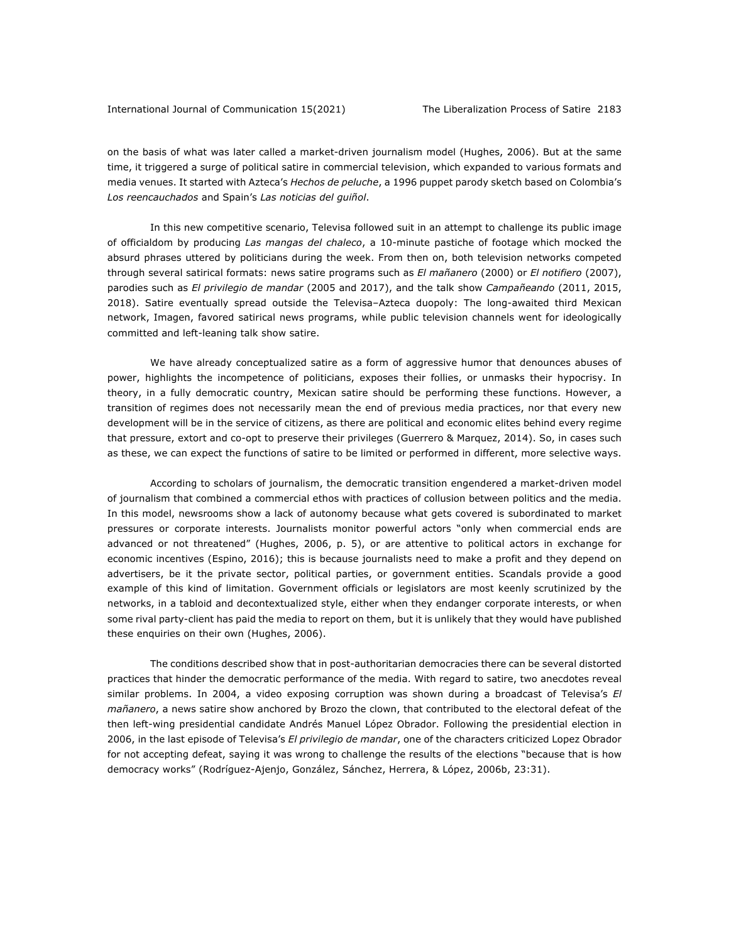on the basis of what was later called a market-driven journalism model (Hughes, 2006). But at the same time, it triggered a surge of political satire in commercial television, which expanded to various formats and media venues. It started with Azteca's *Hechos de peluche*, a 1996 puppet parody sketch based on Colombia's *Los reencauchados* and Spain's *Las noticias del guiñol*.

In this new competitive scenario, Televisa followed suit in an attempt to challenge its public image of officialdom by producing *Las mangas del chaleco*, a 10-minute pastiche of footage which mocked the absurd phrases uttered by politicians during the week. From then on, both television networks competed through several satirical formats: news satire programs such as *El mañanero* (2000) or *El notifiero* (2007), parodies such as *El privilegio de mandar* (2005 and 2017), and the talk show *Campañeando* (2011, 2015, 2018). Satire eventually spread outside the Televisa–Azteca duopoly: The long-awaited third Mexican network, Imagen, favored satirical news programs, while public television channels went for ideologically committed and left-leaning talk show satire.

We have already conceptualized satire as a form of aggressive humor that denounces abuses of power, highlights the incompetence of politicians, exposes their follies, or unmasks their hypocrisy. In theory, in a fully democratic country, Mexican satire should be performing these functions. However, a transition of regimes does not necessarily mean the end of previous media practices, nor that every new development will be in the service of citizens, as there are political and economic elites behind every regime that pressure, extort and co-opt to preserve their privileges (Guerrero & Marquez, 2014). So, in cases such as these, we can expect the functions of satire to be limited or performed in different, more selective ways.

According to scholars of journalism, the democratic transition engendered a market-driven model of journalism that combined a commercial ethos with practices of collusion between politics and the media. In this model, newsrooms show a lack of autonomy because what gets covered is subordinated to market pressures or corporate interests. Journalists monitor powerful actors "only when commercial ends are advanced or not threatened" (Hughes, 2006, p. 5), or are attentive to political actors in exchange for economic incentives (Espino, 2016); this is because journalists need to make a profit and they depend on advertisers, be it the private sector, political parties, or government entities. Scandals provide a good example of this kind of limitation. Government officials or legislators are most keenly scrutinized by the networks, in a tabloid and decontextualized style, either when they endanger corporate interests, or when some rival party-client has paid the media to report on them, but it is unlikely that they would have published these enquiries on their own (Hughes, 2006).

The conditions described show that in post-authoritarian democracies there can be several distorted practices that hinder the democratic performance of the media. With regard to satire, two anecdotes reveal similar problems. In 2004, a video exposing corruption was shown during a broadcast of Televisa's *El mañanero*, a news satire show anchored by Brozo the clown, that contributed to the electoral defeat of the then left-wing presidential candidate Andrés Manuel López Obrador. Following the presidential election in 2006, in the last episode of Televisa's *El privilegio de mandar*, one of the characters criticized Lopez Obrador for not accepting defeat, saying it was wrong to challenge the results of the elections "because that is how democracy works" (Rodríguez-Ajenjo, González, Sánchez, Herrera, & López, 2006b, 23:31).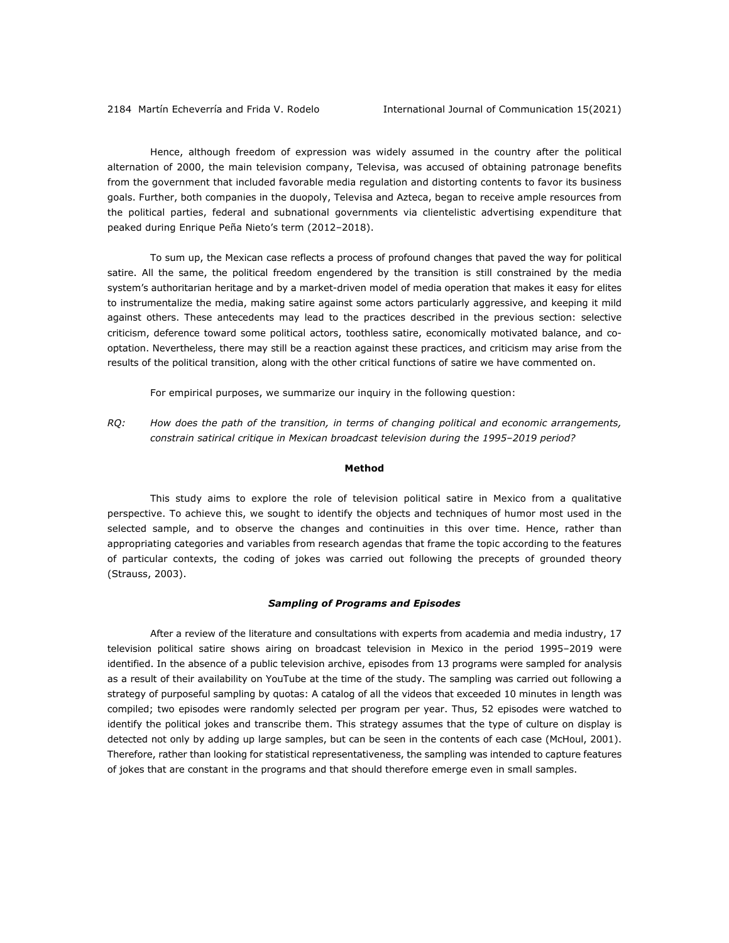Hence, although freedom of expression was widely assumed in the country after the political alternation of 2000, the main television company, Televisa, was accused of obtaining patronage benefits from the government that included favorable media regulation and distorting contents to favor its business goals. Further, both companies in the duopoly, Televisa and Azteca, began to receive ample resources from the political parties, federal and subnational governments via clientelistic advertising expenditure that peaked during Enrique Peña Nieto's term (2012–2018).

To sum up, the Mexican case reflects a process of profound changes that paved the way for political satire. All the same, the political freedom engendered by the transition is still constrained by the media system's authoritarian heritage and by a market-driven model of media operation that makes it easy for elites to instrumentalize the media, making satire against some actors particularly aggressive, and keeping it mild against others. These antecedents may lead to the practices described in the previous section: selective criticism, deference toward some political actors, toothless satire, economically motivated balance, and cooptation. Nevertheless, there may still be a reaction against these practices, and criticism may arise from the results of the political transition, along with the other critical functions of satire we have commented on.

For empirical purposes, we summarize our inquiry in the following question:

*RQ: How does the path of the transition, in terms of changing political and economic arrangements, constrain satirical critique in Mexican broadcast television during the 1995–2019 period?*

#### **Method**

This study aims to explore the role of television political satire in Mexico from a qualitative perspective. To achieve this, we sought to identify the objects and techniques of humor most used in the selected sample, and to observe the changes and continuities in this over time. Hence, rather than appropriating categories and variables from research agendas that frame the topic according to the features of particular contexts, the coding of jokes was carried out following the precepts of grounded theory (Strauss, 2003).

### *Sampling of Programs and Episodes*

After a review of the literature and consultations with experts from academia and media industry, 17 television political satire shows airing on broadcast television in Mexico in the period 1995–2019 were identified. In the absence of a public television archive, episodes from 13 programs were sampled for analysis as a result of their availability on YouTube at the time of the study. The sampling was carried out following a strategy of purposeful sampling by quotas: A catalog of all the videos that exceeded 10 minutes in length was compiled; two episodes were randomly selected per program per year. Thus, 52 episodes were watched to identify the political jokes and transcribe them. This strategy assumes that the type of culture on display is detected not only by adding up large samples, but can be seen in the contents of each case (McHoul, 2001). Therefore, rather than looking for statistical representativeness, the sampling was intended to capture features of jokes that are constant in the programs and that should therefore emerge even in small samples.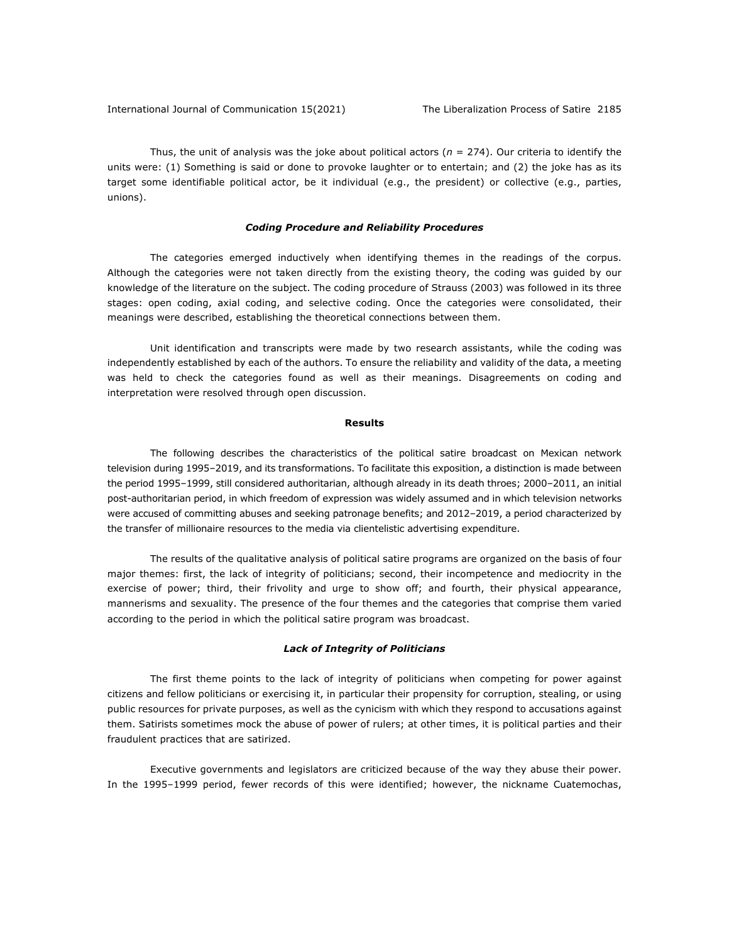Thus, the unit of analysis was the joke about political actors ( $n = 274$ ). Our criteria to identify the units were: (1) Something is said or done to provoke laughter or to entertain; and (2) the joke has as its target some identifiable political actor, be it individual (e.g., the president) or collective (e.g., parties, unions).

# *Coding Procedure and Reliability Procedures*

The categories emerged inductively when identifying themes in the readings of the corpus. Although the categories were not taken directly from the existing theory, the coding was guided by our knowledge of the literature on the subject. The coding procedure of Strauss (2003) was followed in its three stages: open coding, axial coding, and selective coding. Once the categories were consolidated, their meanings were described, establishing the theoretical connections between them.

Unit identification and transcripts were made by two research assistants, while the coding was independently established by each of the authors. To ensure the reliability and validity of the data, a meeting was held to check the categories found as well as their meanings. Disagreements on coding and interpretation were resolved through open discussion.

### **Results**

The following describes the characteristics of the political satire broadcast on Mexican network television during 1995–2019, and its transformations. To facilitate this exposition, a distinction is made between the period 1995–1999, still considered authoritarian, although already in its death throes; 2000–2011, an initial post-authoritarian period, in which freedom of expression was widely assumed and in which television networks were accused of committing abuses and seeking patronage benefits; and 2012–2019, a period characterized by the transfer of millionaire resources to the media via clientelistic advertising expenditure.

The results of the qualitative analysis of political satire programs are organized on the basis of four major themes: first, the lack of integrity of politicians; second, their incompetence and mediocrity in the exercise of power; third, their frivolity and urge to show off; and fourth, their physical appearance, mannerisms and sexuality. The presence of the four themes and the categories that comprise them varied according to the period in which the political satire program was broadcast.

#### *Lack of Integrity of Politicians*

The first theme points to the lack of integrity of politicians when competing for power against citizens and fellow politicians or exercising it, in particular their propensity for corruption, stealing, or using public resources for private purposes, as well as the cynicism with which they respond to accusations against them. Satirists sometimes mock the abuse of power of rulers; at other times, it is political parties and their fraudulent practices that are satirized.

Executive governments and legislators are criticized because of the way they abuse their power. In the 1995–1999 period, fewer records of this were identified; however, the nickname Cuatemochas,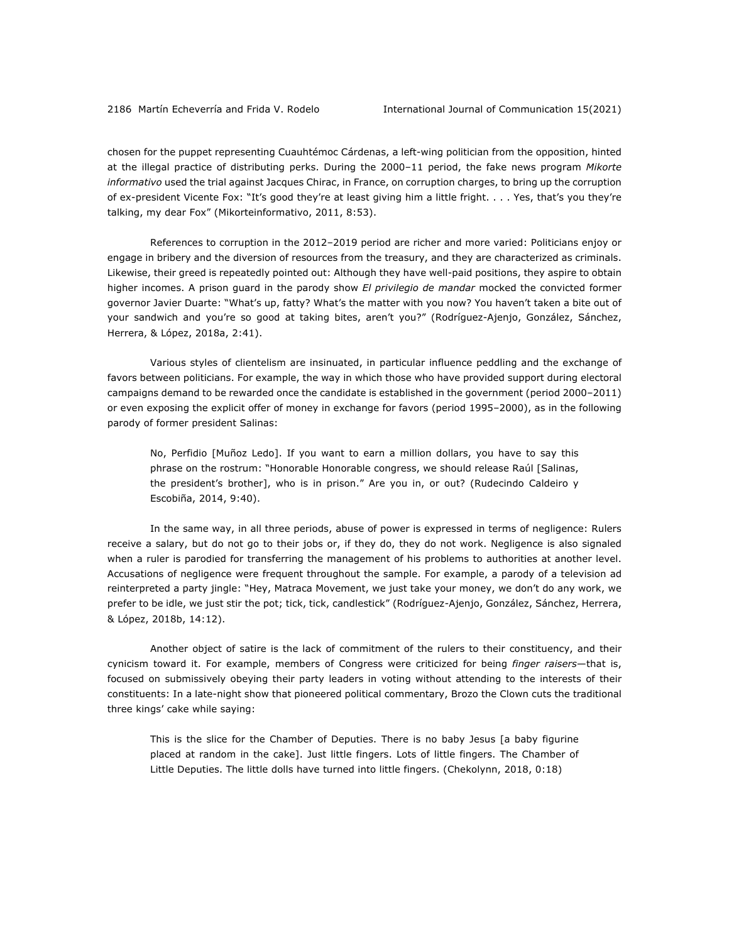chosen for the puppet representing Cuauhtémoc Cárdenas, a left-wing politician from the opposition, hinted at the illegal practice of distributing perks. During the 2000–11 period, the fake news program *Mikorte informativo* used the trial against Jacques Chirac, in France, on corruption charges, to bring up the corruption of ex-president Vicente Fox: "It's good they're at least giving him a little fright. . . . Yes, that's you they're talking, my dear Fox" (Mikorteinformativo, 2011, 8:53).

References to corruption in the 2012–2019 period are richer and more varied: Politicians enjoy or engage in bribery and the diversion of resources from the treasury, and they are characterized as criminals. Likewise, their greed is repeatedly pointed out: Although they have well-paid positions, they aspire to obtain higher incomes. A prison guard in the parody show *El privilegio de mandar* mocked the convicted former governor Javier Duarte: "What's up, fatty? What's the matter with you now? You haven't taken a bite out of your sandwich and you're so good at taking bites, aren't you?" (Rodríguez-Ajenjo, González, Sánchez, Herrera, & López, 2018a, 2:41).

Various styles of clientelism are insinuated, in particular influence peddling and the exchange of favors between politicians. For example, the way in which those who have provided support during electoral campaigns demand to be rewarded once the candidate is established in the government (period 2000–2011) or even exposing the explicit offer of money in exchange for favors (period 1995–2000), as in the following parody of former president Salinas:

No, Perfidio [Muñoz Ledo]. If you want to earn a million dollars, you have to say this phrase on the rostrum: "Honorable Honorable congress, we should release Raúl [Salinas, the president's brother], who is in prison." Are you in, or out? (Rudecindo Caldeiro y Escobiña, 2014, 9:40).

In the same way, in all three periods, abuse of power is expressed in terms of negligence: Rulers receive a salary, but do not go to their jobs or, if they do, they do not work. Negligence is also signaled when a ruler is parodied for transferring the management of his problems to authorities at another level. Accusations of negligence were frequent throughout the sample. For example, a parody of a television ad reinterpreted a party jingle: "Hey, Matraca Movement, we just take your money, we don't do any work, we prefer to be idle, we just stir the pot; tick, tick, candlestick" (Rodríguez-Ajenjo, González, Sánchez, Herrera, & López, 2018b, 14:12).

Another object of satire is the lack of commitment of the rulers to their constituency, and their cynicism toward it. For example, members of Congress were criticized for being *finger raisers*—that is, focused on submissively obeying their party leaders in voting without attending to the interests of their constituents: In a late-night show that pioneered political commentary, Brozo the Clown cuts the traditional three kings' cake while saying:

This is the slice for the Chamber of Deputies. There is no baby Jesus [a baby figurine placed at random in the cake]. Just little fingers. Lots of little fingers. The Chamber of Little Deputies. The little dolls have turned into little fingers. (Chekolynn, 2018, 0:18)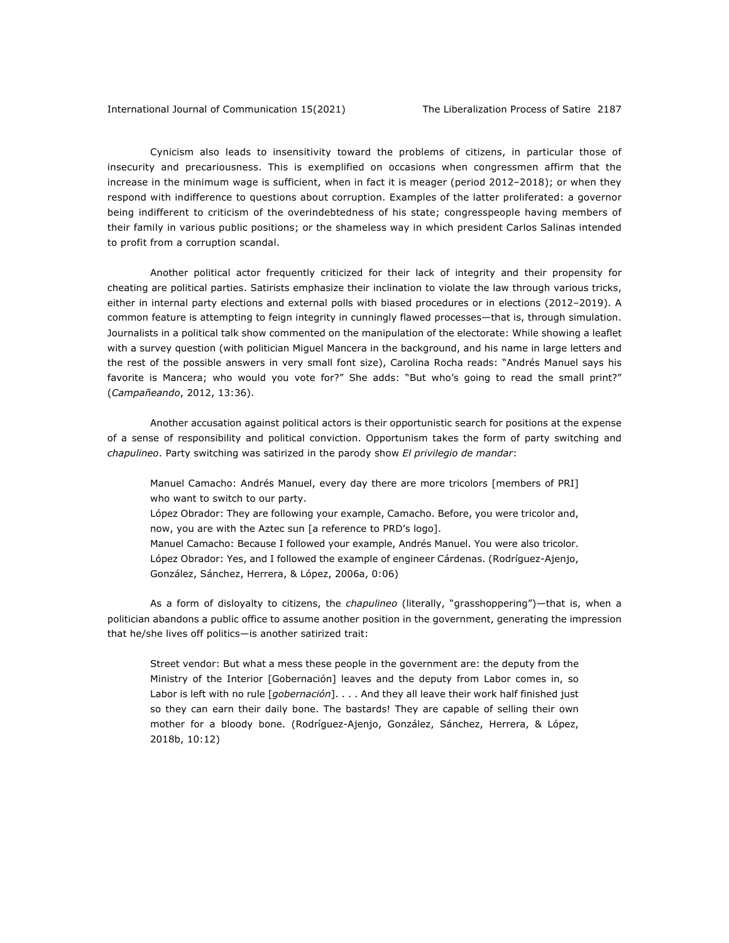Cynicism also leads to insensitivity toward the problems of citizens, in particular those of insecurity and precariousness. This is exemplified on occasions when congressmen affirm that the increase in the minimum wage is sufficient, when in fact it is meager (period 2012–2018); or when they respond with indifference to questions about corruption. Examples of the latter proliferated: a governor being indifferent to criticism of the overindebtedness of his state; congresspeople having members of their family in various public positions; or the shameless way in which president Carlos Salinas intended to profit from a corruption scandal.

Another political actor frequently criticized for their lack of integrity and their propensity for cheating are political parties. Satirists emphasize their inclination to violate the law through various tricks, either in internal party elections and external polls with biased procedures or in elections (2012–2019). A common feature is attempting to feign integrity in cunningly flawed processes—that is, through simulation. Journalists in a political talk show commented on the manipulation of the electorate: While showing a leaflet with a survey question (with politician Miguel Mancera in the background, and his name in large letters and the rest of the possible answers in very small font size), Carolina Rocha reads: "Andrés Manuel says his favorite is Mancera; who would you vote for?" She adds: "But who's going to read the small print?" (*Campañeando*, 2012, 13:36).

Another accusation against political actors is their opportunistic search for positions at the expense of a sense of responsibility and political conviction. Opportunism takes the form of party switching and *chapulineo*. Party switching was satirized in the parody show *El privilegio de mandar*:

Manuel Camacho: Andrés Manuel, every day there are more tricolors [members of PRI] who want to switch to our party.

López Obrador: They are following your example, Camacho. Before, you were tricolor and, now, you are with the Aztec sun [a reference to PRD's logo].

Manuel Camacho: Because I followed your example, Andrés Manuel. You were also tricolor. López Obrador: Yes, and I followed the example of engineer Cárdenas. (Rodríguez-Ajenjo, González, Sánchez, Herrera, & López, 2006a, 0:06)

As a form of disloyalty to citizens, the *chapulineo* (literally, "grasshoppering")—that is, when a politician abandons a public office to assume another position in the government, generating the impression that he/she lives off politics—is another satirized trait:

Street vendor: But what a mess these people in the government are: the deputy from the Ministry of the Interior [Gobernación] leaves and the deputy from Labor comes in, so Labor is left with no rule [*gobernación*]. . . . And they all leave their work half finished just so they can earn their daily bone. The bastards! They are capable of selling their own mother for a bloody bone. (Rodríguez-Ajenjo, González, Sánchez, Herrera, & López, 2018b, 10:12)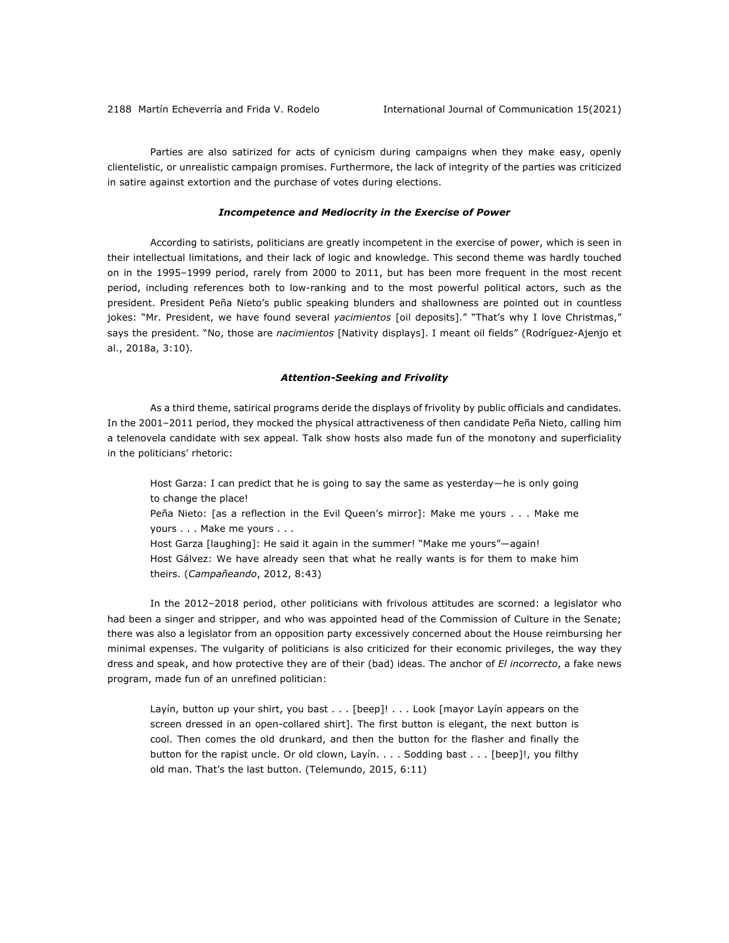Parties are also satirized for acts of cynicism during campaigns when they make easy, openly clientelistic, or unrealistic campaign promises. Furthermore, the lack of integrity of the parties was criticized in satire against extortion and the purchase of votes during elections.

### *Incompetence and Mediocrity in the Exercise of Power*

According to satirists, politicians are greatly incompetent in the exercise of power, which is seen in their intellectual limitations, and their lack of logic and knowledge. This second theme was hardly touched on in the 1995–1999 period, rarely from 2000 to 2011, but has been more frequent in the most recent period, including references both to low-ranking and to the most powerful political actors, such as the president. President Peña Nieto's public speaking blunders and shallowness are pointed out in countless jokes: "Mr. President, we have found several *yacimientos* [oil deposits]." "That's why I love Christmas," says the president. "No, those are *nacimientos* [Nativity displays]. I meant oil fields" (Rodríguez-Ajenjo et al., 2018a, 3:10).

#### *Attention-Seeking and Frivolity*

As a third theme, satirical programs deride the displays of frivolity by public officials and candidates. In the 2001–2011 period, they mocked the physical attractiveness of then candidate Peña Nieto, calling him a telenovela candidate with sex appeal. Talk show hosts also made fun of the monotony and superficiality in the politicians' rhetoric:

Host Garza: I can predict that he is going to say the same as yesterday—he is only going to change the place! Peña Nieto: [as a reflection in the Evil Queen's mirror]: Make me yours . . . Make me yours . . . Make me yours . . . Host Garza [laughing]: He said it again in the summer! "Make me yours"—again! Host Gálvez: We have already seen that what he really wants is for them to make him

theirs. (*Campañeando*, 2012, 8:43)

In the 2012–2018 period, other politicians with frivolous attitudes are scorned: a legislator who had been a singer and stripper, and who was appointed head of the Commission of Culture in the Senate; there was also a legislator from an opposition party excessively concerned about the House reimbursing her minimal expenses. The vulgarity of politicians is also criticized for their economic privileges, the way they dress and speak, and how protective they are of their (bad) ideas. The anchor of *El incorrecto*, a fake news program, made fun of an unrefined politician:

Layín, button up your shirt, you bast . . . [beep]! . . . Look [mayor Layín appears on the screen dressed in an open-collared shirt]. The first button is elegant, the next button is cool. Then comes the old drunkard, and then the button for the flasher and finally the button for the rapist uncle. Or old clown, Layín. . . . Sodding bast . . . [beep]!, you filthy old man. That's the last button. (Telemundo, 2015, 6:11)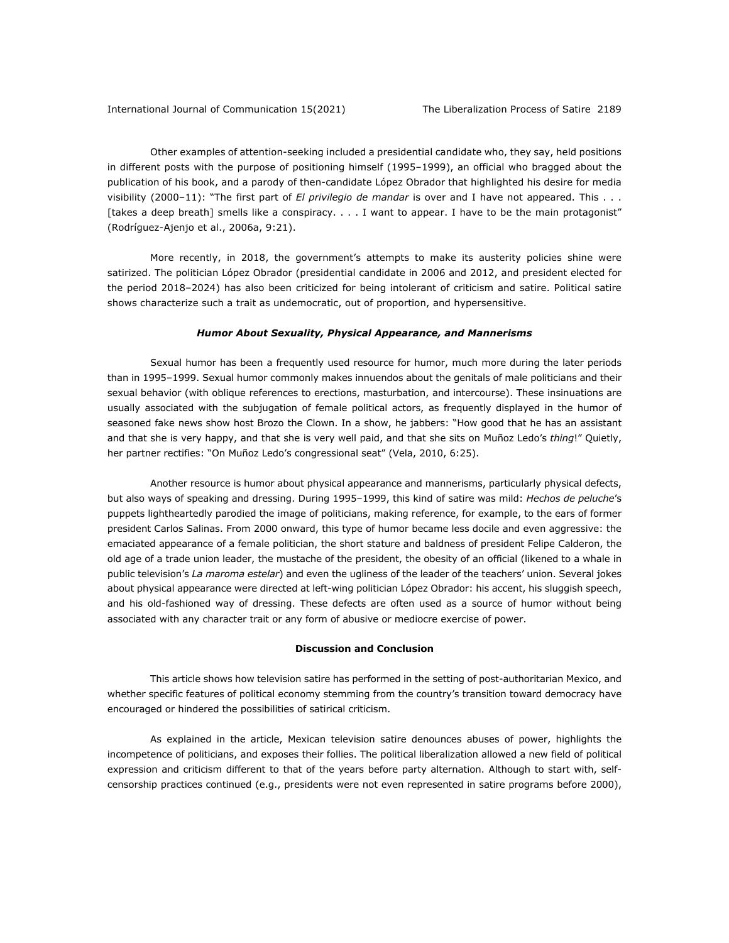Other examples of attention-seeking included a presidential candidate who, they say, held positions in different posts with the purpose of positioning himself (1995–1999), an official who bragged about the publication of his book, and a parody of then-candidate López Obrador that highlighted his desire for media visibility (2000–11): "The first part of *El privilegio de mandar* is over and I have not appeared. This . . . [takes a deep breath] smells like a conspiracy. . . . I want to appear. I have to be the main protagonist" (Rodríguez-Ajenjo et al., 2006a, 9:21).

More recently, in 2018, the government's attempts to make its austerity policies shine were satirized. The politician López Obrador (presidential candidate in 2006 and 2012, and president elected for the period 2018–2024) has also been criticized for being intolerant of criticism and satire. Political satire shows characterize such a trait as undemocratic, out of proportion, and hypersensitive.

#### *Humor About Sexuality, Physical Appearance, and Mannerisms*

Sexual humor has been a frequently used resource for humor, much more during the later periods than in 1995–1999. Sexual humor commonly makes innuendos about the genitals of male politicians and their sexual behavior (with oblique references to erections, masturbation, and intercourse). These insinuations are usually associated with the subjugation of female political actors, as frequently displayed in the humor of seasoned fake news show host Brozo the Clown. In a show, he jabbers: "How good that he has an assistant and that she is very happy, and that she is very well paid, and that she sits on Muñoz Ledo's *thing*!" Quietly, her partner rectifies: "On Muñoz Ledo's congressional seat" (Vela, 2010, 6:25).

Another resource is humor about physical appearance and mannerisms, particularly physical defects, but also ways of speaking and dressing. During 1995–1999, this kind of satire was mild: *Hechos de peluche*'s puppets lightheartedly parodied the image of politicians, making reference, for example, to the ears of former president Carlos Salinas. From 2000 onward, this type of humor became less docile and even aggressive: the emaciated appearance of a female politician, the short stature and baldness of president Felipe Calderon, the old age of a trade union leader, the mustache of the president, the obesity of an official (likened to a whale in public television's *La maroma estelar*) and even the ugliness of the leader of the teachers' union. Several jokes about physical appearance were directed at left-wing politician López Obrador: his accent, his sluggish speech, and his old-fashioned way of dressing. These defects are often used as a source of humor without being associated with any character trait or any form of abusive or mediocre exercise of power.

#### **Discussion and Conclusion**

This article shows how television satire has performed in the setting of post-authoritarian Mexico, and whether specific features of political economy stemming from the country's transition toward democracy have encouraged or hindered the possibilities of satirical criticism.

As explained in the article, Mexican television satire denounces abuses of power, highlights the incompetence of politicians, and exposes their follies. The political liberalization allowed a new field of political expression and criticism different to that of the years before party alternation. Although to start with, selfcensorship practices continued (e.g., presidents were not even represented in satire programs before 2000),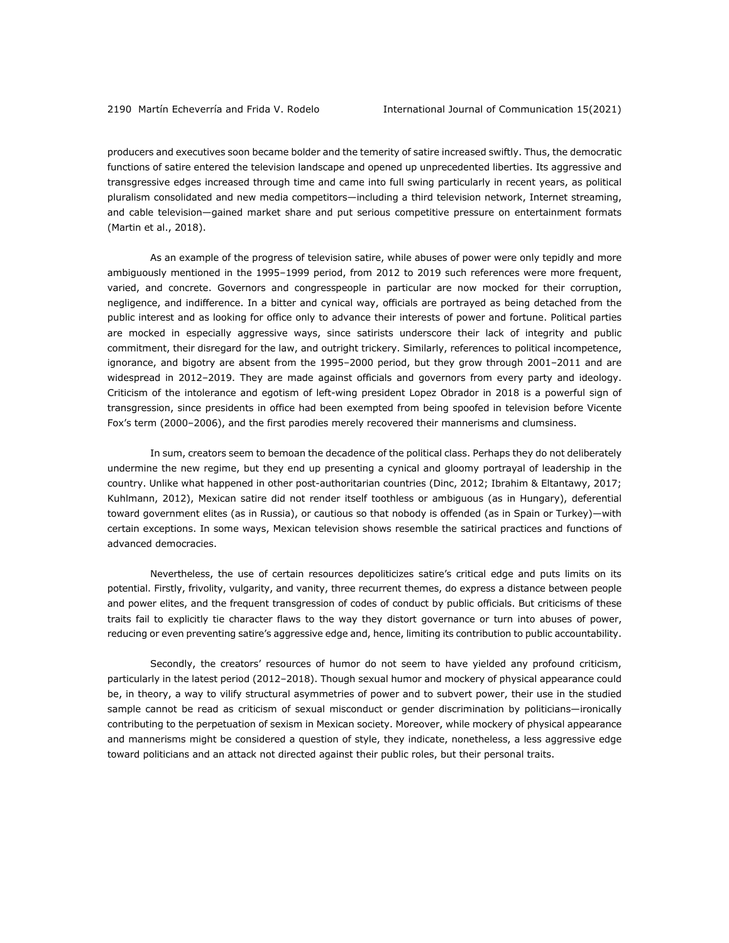producers and executives soon became bolder and the temerity of satire increased swiftly. Thus, the democratic functions of satire entered the television landscape and opened up unprecedented liberties. Its aggressive and transgressive edges increased through time and came into full swing particularly in recent years, as political pluralism consolidated and new media competitors—including a third television network, Internet streaming, and cable television—gained market share and put serious competitive pressure on entertainment formats (Martin et al., 2018).

As an example of the progress of television satire, while abuses of power were only tepidly and more ambiguously mentioned in the 1995–1999 period, from 2012 to 2019 such references were more frequent, varied, and concrete. Governors and congresspeople in particular are now mocked for their corruption, negligence, and indifference. In a bitter and cynical way, officials are portrayed as being detached from the public interest and as looking for office only to advance their interests of power and fortune. Political parties are mocked in especially aggressive ways, since satirists underscore their lack of integrity and public commitment, their disregard for the law, and outright trickery. Similarly, references to political incompetence, ignorance, and bigotry are absent from the 1995–2000 period, but they grow through 2001–2011 and are widespread in 2012–2019. They are made against officials and governors from every party and ideology. Criticism of the intolerance and egotism of left-wing president Lopez Obrador in 2018 is a powerful sign of transgression, since presidents in office had been exempted from being spoofed in television before Vicente Fox's term (2000–2006), and the first parodies merely recovered their mannerisms and clumsiness.

In sum, creators seem to bemoan the decadence of the political class. Perhaps they do not deliberately undermine the new regime, but they end up presenting a cynical and gloomy portrayal of leadership in the country. Unlike what happened in other post-authoritarian countries (Dinc, 2012; Ibrahim & Eltantawy, 2017; Kuhlmann, 2012), Mexican satire did not render itself toothless or ambiguous (as in Hungary), deferential toward government elites (as in Russia), or cautious so that nobody is offended (as in Spain or Turkey)—with certain exceptions. In some ways, Mexican television shows resemble the satirical practices and functions of advanced democracies.

Nevertheless, the use of certain resources depoliticizes satire's critical edge and puts limits on its potential. Firstly, frivolity, vulgarity, and vanity, three recurrent themes, do express a distance between people and power elites, and the frequent transgression of codes of conduct by public officials. But criticisms of these traits fail to explicitly tie character flaws to the way they distort governance or turn into abuses of power, reducing or even preventing satire's aggressive edge and, hence, limiting its contribution to public accountability.

Secondly, the creators' resources of humor do not seem to have yielded any profound criticism, particularly in the latest period (2012–2018). Though sexual humor and mockery of physical appearance could be, in theory, a way to vilify structural asymmetries of power and to subvert power, their use in the studied sample cannot be read as criticism of sexual misconduct or gender discrimination by politicians—ironically contributing to the perpetuation of sexism in Mexican society. Moreover, while mockery of physical appearance and mannerisms might be considered a question of style, they indicate, nonetheless, a less aggressive edge toward politicians and an attack not directed against their public roles, but their personal traits.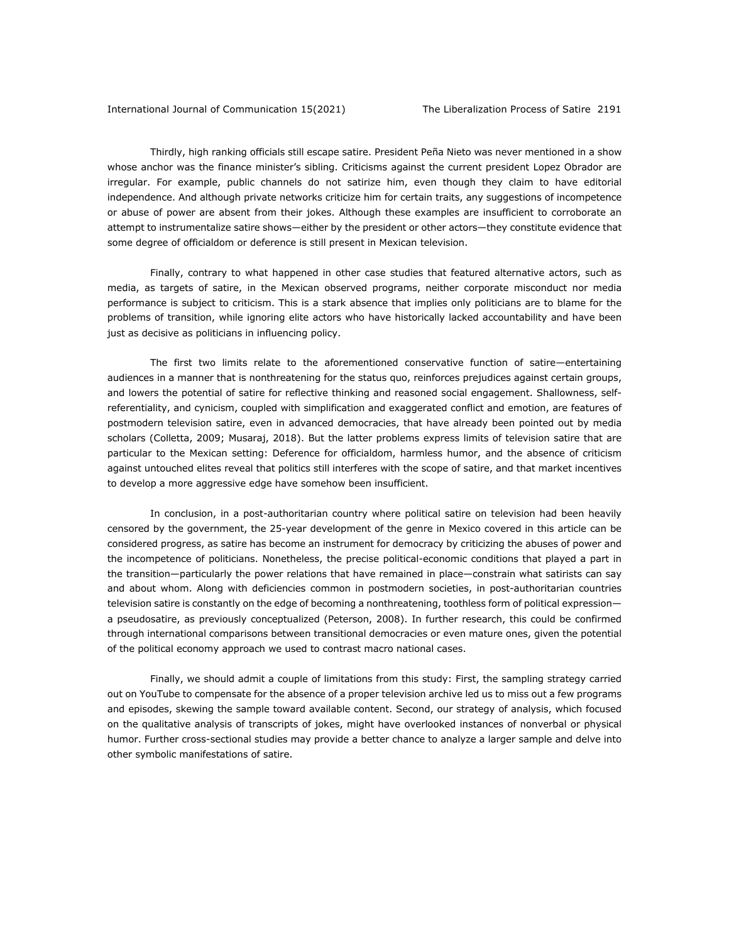Thirdly, high ranking officials still escape satire. President Peña Nieto was never mentioned in a show whose anchor was the finance minister's sibling. Criticisms against the current president Lopez Obrador are irregular. For example, public channels do not satirize him, even though they claim to have editorial independence. And although private networks criticize him for certain traits, any suggestions of incompetence or abuse of power are absent from their jokes. Although these examples are insufficient to corroborate an attempt to instrumentalize satire shows—either by the president or other actors—they constitute evidence that some degree of officialdom or deference is still present in Mexican television.

Finally, contrary to what happened in other case studies that featured alternative actors, such as media, as targets of satire, in the Mexican observed programs, neither corporate misconduct nor media performance is subject to criticism. This is a stark absence that implies only politicians are to blame for the problems of transition, while ignoring elite actors who have historically lacked accountability and have been just as decisive as politicians in influencing policy.

The first two limits relate to the aforementioned conservative function of satire—entertaining audiences in a manner that is nonthreatening for the status quo, reinforces prejudices against certain groups, and lowers the potential of satire for reflective thinking and reasoned social engagement. Shallowness, selfreferentiality, and cynicism, coupled with simplification and exaggerated conflict and emotion, are features of postmodern television satire, even in advanced democracies, that have already been pointed out by media scholars (Colletta, 2009; Musaraj, 2018). But the latter problems express limits of television satire that are particular to the Mexican setting: Deference for officialdom, harmless humor, and the absence of criticism against untouched elites reveal that politics still interferes with the scope of satire, and that market incentives to develop a more aggressive edge have somehow been insufficient.

In conclusion, in a post-authoritarian country where political satire on television had been heavily censored by the government, the 25-year development of the genre in Mexico covered in this article can be considered progress, as satire has become an instrument for democracy by criticizing the abuses of power and the incompetence of politicians. Nonetheless, the precise political-economic conditions that played a part in the transition—particularly the power relations that have remained in place—constrain what satirists can say and about whom. Along with deficiencies common in postmodern societies, in post-authoritarian countries television satire is constantly on the edge of becoming a nonthreatening, toothless form of political expression a pseudosatire, as previously conceptualized (Peterson, 2008). In further research, this could be confirmed through international comparisons between transitional democracies or even mature ones, given the potential of the political economy approach we used to contrast macro national cases.

Finally, we should admit a couple of limitations from this study: First, the sampling strategy carried out on YouTube to compensate for the absence of a proper television archive led us to miss out a few programs and episodes, skewing the sample toward available content. Second, our strategy of analysis, which focused on the qualitative analysis of transcripts of jokes, might have overlooked instances of nonverbal or physical humor. Further cross-sectional studies may provide a better chance to analyze a larger sample and delve into other symbolic manifestations of satire.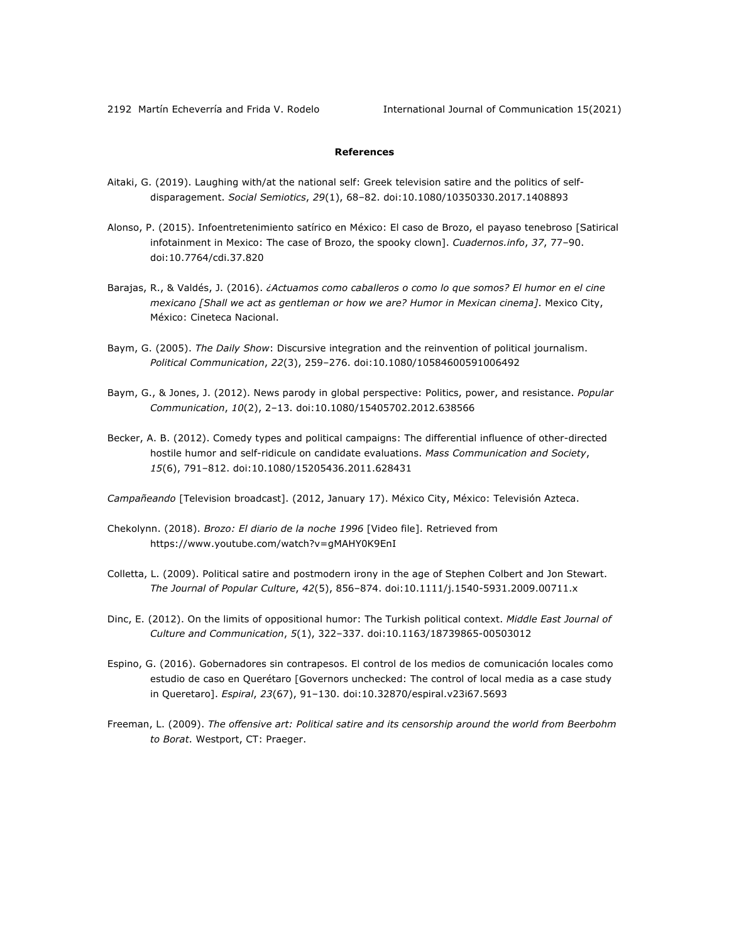2192 Martín Echeverría and Frida V. Rodelo **International Journal of Communication 15(2021)** 

# **References**

- Aitaki, G. (2019). Laughing with/at the national self: Greek television satire and the politics of selfdisparagement. *Social Semiotics*, *29*(1), 68–82. doi:10.1080/10350330.2017.1408893
- Alonso, P. (2015). Infoentretenimiento satírico en México: El caso de Brozo, el payaso tenebroso [Satirical infotainment in Mexico: The case of Brozo, the spooky clown]. *Cuadernos.info*, *37*, 77–90. doi:10.7764/cdi.37.820
- Barajas, R., & Valdés, J. (2016). *¿Actuamos como caballeros o como lo que somos? El humor en el cine mexicano [Shall we act as gentleman or how we are? Humor in Mexican cinema]*. Mexico City, México: Cineteca Nacional.
- Baym, G. (2005). *The Daily Show*: Discursive integration and the reinvention of political journalism. *Political Communication*, *22*(3), 259–276. doi:10.1080/10584600591006492
- Baym, G., & Jones, J. (2012). News parody in global perspective: Politics, power, and resistance. *Popular Communication*, *10*(2), 2–13. doi:10.1080/15405702.2012.638566
- Becker, A. B. (2012). Comedy types and political campaigns: The differential influence of other-directed hostile humor and self-ridicule on candidate evaluations. *Mass Communication and Society*, *15*(6), 791–812. doi:10.1080/15205436.2011.628431

*Campañeando* [Television broadcast]. (2012, January 17). México City, México: Televisión Azteca.

- Chekolynn. (2018). *Brozo: El diario de la noche 1996* [Video file]. Retrieved from https://www.youtube.com/watch?v=gMAHY0K9EnI
- Colletta, L. (2009). Political satire and postmodern irony in the age of Stephen Colbert and Jon Stewart. *The Journal of Popular Culture*, *42*(5), 856–874. doi:10.1111/j.1540-5931.2009.00711.x
- Dinc, E. (2012). On the limits of oppositional humor: The Turkish political context. *Middle East Journal of Culture and Communication*, *5*(1), 322–337. doi:10.1163/18739865-00503012
- Espino, G. (2016). Gobernadores sin contrapesos. El control de los medios de comunicación locales como estudio de caso en Querétaro [Governors unchecked: The control of local media as a case study in Queretaro]. *Espiral*, *23*(67), 91–130. doi:10.32870/espiral.v23i67.5693
- Freeman, L. (2009). *The offensive art: Political satire and its censorship around the world from Beerbohm to Borat*. Westport, CT: Praeger.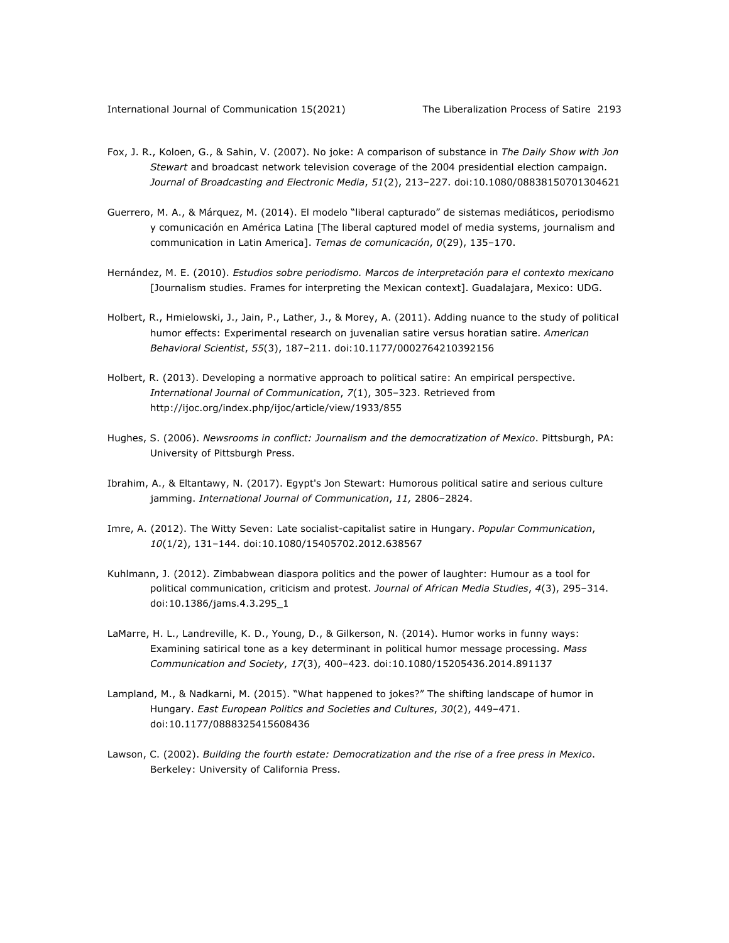- Fox, J. R., Koloen, G., & Sahin, V. (2007). No joke: A comparison of substance in *The Daily Show with Jon Stewart* and broadcast network television coverage of the 2004 presidential election campaign. *Journal of Broadcasting and Electronic Media*, *51*(2), 213–227. doi:10.1080/08838150701304621
- Guerrero, M. A., & Márquez, M. (2014). El modelo "liberal capturado" de sistemas mediáticos, periodismo y comunicación en América Latina [The liberal captured model of media systems, journalism and communication in Latin America]. *Temas de comunicación*, *0*(29), 135–170.
- Hernández, M. E. (2010). *Estudios sobre periodismo. Marcos de interpretación para el contexto mexicano*  [Journalism studies. Frames for interpreting the Mexican context]. Guadalajara, Mexico: UDG.
- Holbert, R., Hmielowski, J., Jain, P., Lather, J., & Morey, A. (2011). Adding nuance to the study of political humor effects: Experimental research on juvenalian satire versus horatian satire. *American Behavioral Scientist*, *55*(3), 187–211. doi:10.1177/0002764210392156
- Holbert, R. (2013). Developing a normative approach to political satire: An empirical perspective. *International Journal of Communication*, *7*(1), 305–323. Retrieved from http://ijoc.org/index.php/ijoc/article/view/1933/855
- Hughes, S. (2006). *Newsrooms in conflict: Journalism and the democratization of Mexico*. Pittsburgh, PA: University of Pittsburgh Press.
- Ibrahim, A., & Eltantawy, N. (2017). Egypt's Jon Stewart: Humorous political satire and serious culture jamming. *International Journal of Communication*, *11,* 2806–2824.
- Imre, A. (2012). The Witty Seven: Late socialist-capitalist satire in Hungary. *Popular Communication*, *10*(1/2), 131–144. doi:10.1080/15405702.2012.638567
- Kuhlmann, J. (2012). Zimbabwean diaspora politics and the power of laughter: Humour as a tool for political communication, criticism and protest. *Journal of African Media Studies*, *4*(3), 295–314. doi:10.1386/jams.4.3.295\_1
- LaMarre, H. L., Landreville, K. D., Young, D., & Gilkerson, N. (2014). Humor works in funny ways: Examining satirical tone as a key determinant in political humor message processing. *Mass Communication and Society*, *17*(3), 400–423. doi:10.1080/15205436.2014.891137
- Lampland, M., & Nadkarni, M. (2015). "What happened to jokes?" The shifting landscape of humor in Hungary. *East European Politics and Societies and Cultures*, *30*(2), 449–471. doi:10.1177/0888325415608436
- Lawson, C. (2002). *Building the fourth estate: Democratization and the rise of a free press in Mexico*. Berkeley: University of California Press.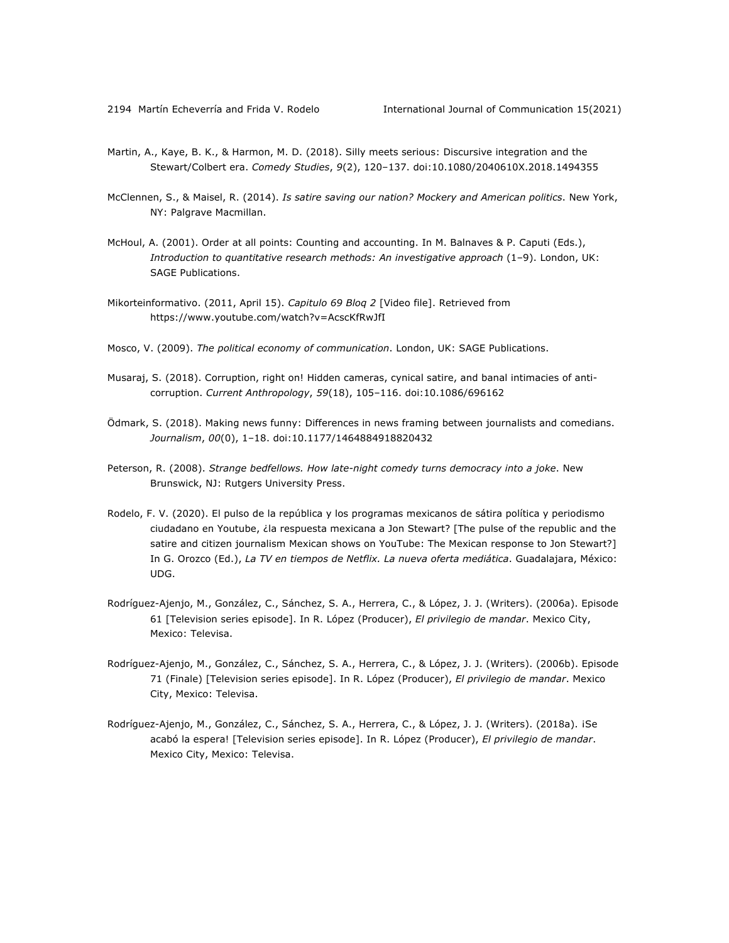- Martin, A., Kaye, B. K., & Harmon, M. D. (2018). Silly meets serious: Discursive integration and the Stewart/Colbert era. *Comedy Studies*, *9*(2), 120–137. doi:10.1080/2040610X.2018.1494355
- McClennen, S., & Maisel, R. (2014). *Is satire saving our nation? Mockery and American politics*. New York, NY: Palgrave Macmillan.
- McHoul, A. (2001). Order at all points: Counting and accounting. In M. Balnaves & P. Caputi (Eds.), *Introduction to quantitative research methods: An investigative approach* (1–9). London, UK: SAGE Publications.
- Mikorteinformativo. (2011, April 15). *Capitulo 69 Bloq 2* [Video file]. Retrieved from https://www.youtube.com/watch?v=AcscKfRwJfI
- Mosco, V. (2009). *The political economy of communication*. London, UK: SAGE Publications.
- Musaraj, S. (2018). Corruption, right on! Hidden cameras, cynical satire, and banal intimacies of anticorruption. *Current Anthropology*, *59*(18), 105–116. doi:10.1086/696162
- Ödmark, S. (2018). Making news funny: Differences in news framing between journalists and comedians. *Journalism*, *00*(0), 1–18. doi:10.1177/1464884918820432
- Peterson, R. (2008). *Strange bedfellows. How late-night comedy turns democracy into a joke*. New Brunswick, NJ: Rutgers University Press.
- Rodelo, F. V. (2020). El pulso de la república y los programas mexicanos de sátira política y periodismo ciudadano en Youtube, ¿la respuesta mexicana a Jon Stewart? [The pulse of the republic and the satire and citizen journalism Mexican shows on YouTube: The Mexican response to Jon Stewart?] In G. Orozco (Ed.), *La TV en tiempos de Netflix. La nueva oferta mediática*. Guadalajara, México: UDG.
- Rodríguez-Ajenjo, M., González, C., Sánchez, S. A., Herrera, C., & López, J. J. (Writers). (2006a). Episode 61 [Television series episode]. In R. López (Producer), *El privilegio de mandar*. Mexico City, Mexico: Televisa.
- Rodríguez-Ajenjo, M., González, C., Sánchez, S. A., Herrera, C., & López, J. J. (Writers). (2006b). Episode 71 (Finale) [Television series episode]. In R. López (Producer), *El privilegio de mandar*. Mexico City, Mexico: Televisa.
- Rodríguez-Ajenjo, M., González, C., Sánchez, S. A., Herrera, C., & López, J. J. (Writers). (2018a). ¡Se acabó la espera! [Television series episode]. In R. López (Producer), *El privilegio de mandar*. Mexico City, Mexico: Televisa.